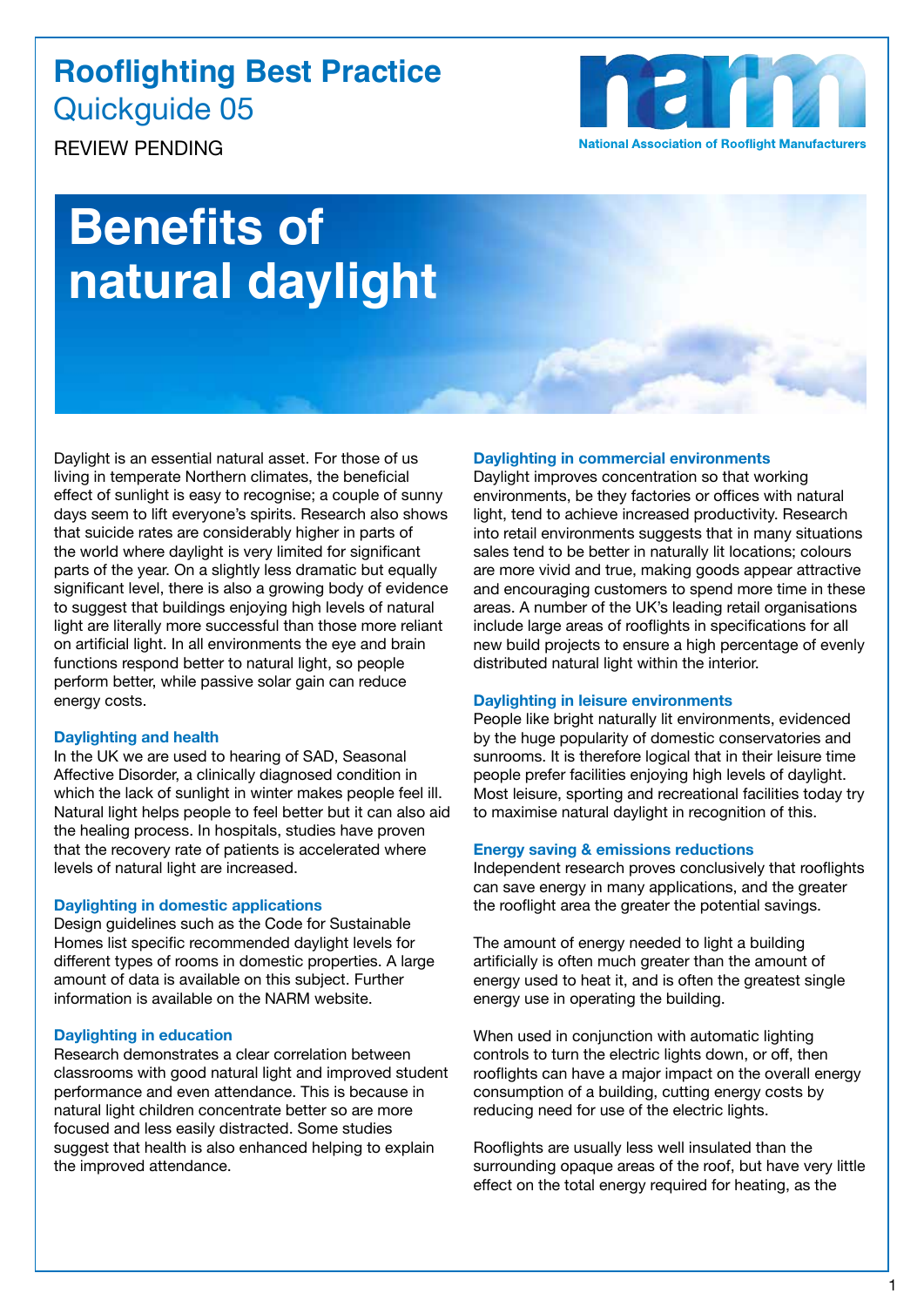### **Rooflighting Best Practice** Quickguide 05

**National Association of Rooflight Manufacturers** 

REVIEW PENDING

# **Benefits of natural daylight**

Daylight is an essential natural asset. For those of us living in temperate Northern climates, the beneficial effect of sunlight is easy to recognise; a couple of sunny days seem to lift everyone's spirits. Research also shows that suicide rates are considerably higher in parts of the world where daylight is very limited for significant parts of the year. On a slightly less dramatic but equally significant level, there is also a growing body of evidence to suggest that buildings enjoying high levels of natural light are literally more successful than those more reliant on artificial light. In all environments the eye and brain functions respond better to natural light, so people perform better, while passive solar gain can reduce energy costs.

#### **Daylighting and health**

In the UK we are used to hearing of SAD, Seasonal Affective Disorder, a clinically diagnosed condition in which the lack of sunlight in winter makes people feel ill. Natural light helps people to feel better but it can also aid the healing process. In hospitals, studies have proven that the recovery rate of patients is accelerated where levels of natural light are increased.

#### **Daylighting in domestic applications**

Design guidelines such as the Code for Sustainable Homes list specific recommended daylight levels for different types of rooms in domestic properties. A large amount of data is available on this subject. Further information is available on the NARM website.

#### **Daylighting in education**

Research demonstrates a clear correlation between classrooms with good natural light and improved student performance and even attendance. This is because in natural light children concentrate better so are more focused and less easily distracted. Some studies suggest that health is also enhanced helping to explain the improved attendance.

#### **Daylighting in commercial environments**

Daylight improves concentration so that working environments, be they factories or offices with natural light, tend to achieve increased productivity. Research into retail environments suggests that in many situations sales tend to be better in naturally lit locations; colours are more vivid and true, making goods appear attractive and encouraging customers to spend more time in these areas. A number of the UK's leading retail organisations include large areas of rooflights in specifications for all new build projects to ensure a high percentage of evenly distributed natural light within the interior.

#### **Daylighting in leisure environments**

People like bright naturally lit environments, evidenced by the huge popularity of domestic conservatories and sunrooms. It is therefore logical that in their leisure time people prefer facilities enjoying high levels of daylight. Most leisure, sporting and recreational facilities today try to maximise natural daylight in recognition of this.

#### **Energy saving & emissions reductions**

Independent research proves conclusively that rooflights can save energy in many applications, and the greater the rooflight area the greater the potential savings.

The amount of energy needed to light a building artificially is often much greater than the amount of energy used to heat it, and is often the greatest single energy use in operating the building.

When used in conjunction with automatic lighting controls to turn the electric lights down, or off, then rooflights can have a major impact on the overall energy consumption of a building, cutting energy costs by reducing need for use of the electric lights.

Rooflights are usually less well insulated than the surrounding opaque areas of the roof, but have very little effect on the total energy required for heating, as the